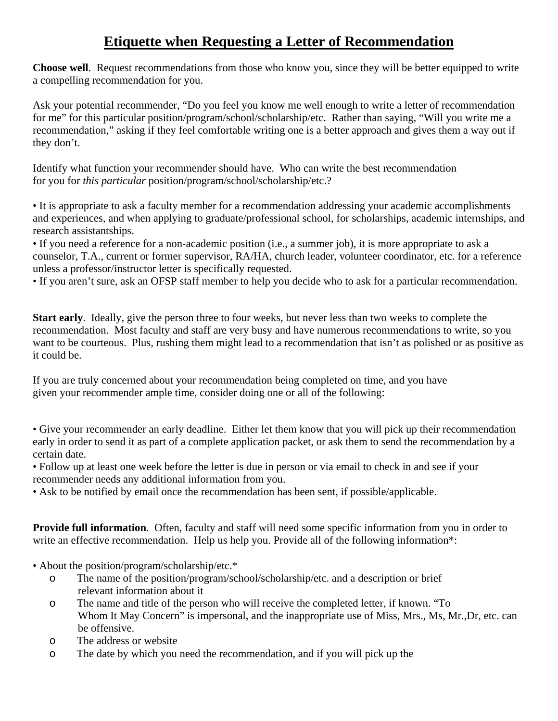## **Etiquette when Requesting a Letter of Recommendation**

**Choose well**. Request recommendations from those who know you, since they will be better equipped to write a compelling recommendation for you.

Ask your potential recommender, "Do you feel you know me well enough to write a letter of recommendation for me" for this particular position/program/school/scholarship/etc. Rather than saying, "Will you write me a recommendation," asking if they feel comfortable writing one is a better approach and gives them a way out if they don't.

Identify what function your recommender should have. Who can write the best recommendation for you for *this particular* position/program/school/scholarship/etc.?

• It is appropriate to ask a faculty member for a recommendation addressing your academic accomplishments and experiences, and when applying to graduate/professional school, for scholarships, academic internships, and research assistantships.

• If you need a reference for a non-academic position (i.e., a summer job), it is more appropriate to ask a counselor, T.A., current or former supervisor, RA/HA, church leader, volunteer coordinator, etc. for a reference unless a professor/instructor letter is specifically requested.

• If you aren't sure, ask an OFSP staff member to help you decide who to ask for a particular recommendation.

**Start early**. Ideally, give the person three to four weeks, but never less than two weeks to complete the recommendation. Most faculty and staff are very busy and have numerous recommendations to write, so you want to be courteous. Plus, rushing them might lead to a recommendation that isn't as polished or as positive as it could be.

If you are truly concerned about your recommendation being completed on time, and you have given your recommender ample time, consider doing one or all of the following:

• Give your recommender an early deadline. Either let them know that you will pick up their recommendation early in order to send it as part of a complete application packet, or ask them to send the recommendation by a certain date.

• Follow up at least one week before the letter is due in person or via email to check in and see if your recommender needs any additional information from you.

• Ask to be notified by email once the recommendation has been sent, if possible/applicable.

**Provide full information**. Often, faculty and staff will need some specific information from you in order to write an effective recommendation. Help us help you. Provide all of the following information<sup>\*</sup>:

- About the position/program/scholarship/etc.\*
	- o The name of the position/program/school/scholarship/etc. and a description or brief relevant information about it
	- o The name and title of the person who will receive the completed letter, if known. "To Whom It May Concern" is impersonal, and the inappropriate use of Miss, Mrs., Ms, Mr.,Dr, etc. can be offensive.
	- o The address or website
	- o The date by which you need the recommendation, and if you will pick up the